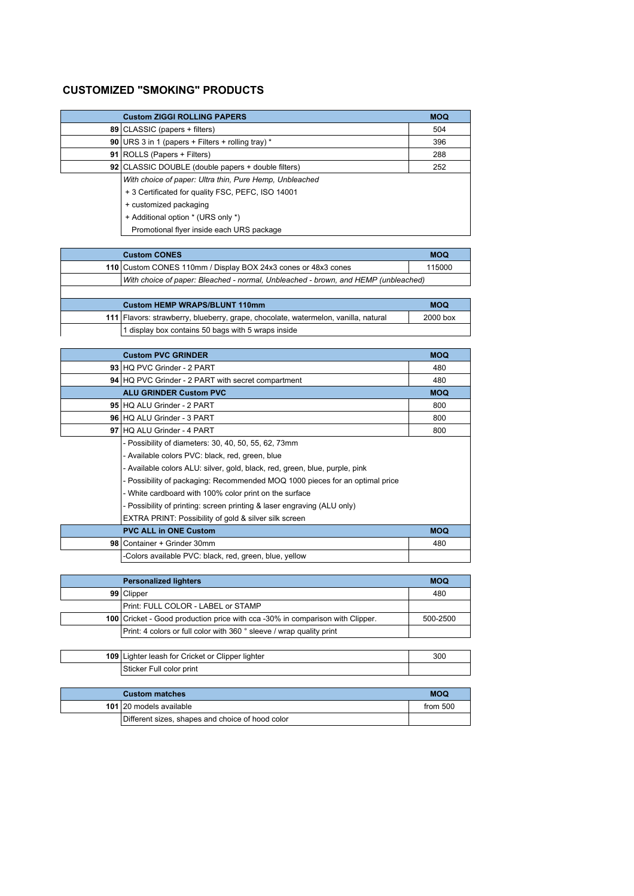## **CUSTOMIZED "SMOKING" PRODUCTS**

| <b>Custom ZIGGI ROLLING PAPERS</b>                         | <b>MOQ</b> |
|------------------------------------------------------------|------------|
| 89   CLASSIC (papers + filters)                            | 504        |
| <b>90</b> URS 3 in 1 (papers + Filters + rolling tray) $*$ | 396        |
| 91 ROLLS (Papers + Filters)                                | 288        |
| 92 CLASSIC DOUBLE (double papers + double filters)         | 252        |
| With choice of paper: Ultra thin, Pure Hemp, Unbleached    |            |
| + 3 Certificated for quality FSC, PEFC, ISO 14001          |            |
| + customized packaging                                     |            |
| + Additional option * (URS only *)                         |            |
| Promotional flyer inside each URS package                  |            |

| <b>Custom CONES</b>                                                                | <b>MOQ</b> |
|------------------------------------------------------------------------------------|------------|
| 110 Custom CONES 110mm / Display BOX 24x3 cones or 48x3 cones                      | 115000     |
| With choice of paper: Bleached - normal, Unbleached - brown, and HEMP (unbleached) |            |
|                                                                                    |            |
| Custom HEMP WRAPS/BLUNT 110mm                                                      | <b>MOQ</b> |

| <b>Custom HEMP WRAPS/BLUNT 110mm</b>                                               | <b>MOQ</b> |
|------------------------------------------------------------------------------------|------------|
| 111 Flavors: strawberry, blueberry, grape, chocolate, watermelon, vanilla, natural | 2000 box   |
| 1 display box contains 50 bags with 5 wraps inside                                 |            |

|                                                           | <b>Custom PVC GRINDER</b>                                                    | <b>MOQ</b> |
|-----------------------------------------------------------|------------------------------------------------------------------------------|------------|
|                                                           | 93 HQ PVC Grinder - 2 PART                                                   | 480        |
| <b>94 HQ PVC Grinder - 2 PART with secret compartment</b> |                                                                              | 480        |
|                                                           | <b>ALU GRINDER Custom PVC</b>                                                | <b>MOQ</b> |
|                                                           | 95 HQ ALU Grinder - 2 PART                                                   | 800        |
|                                                           | 96 HQ ALU Grinder - 3 PART                                                   | 800        |
|                                                           | 97 HQ ALU Grinder - 4 PART                                                   | 800        |
|                                                           | - Possibility of diameters: 30, 40, 50, 55, 62, 73mm                         |            |
|                                                           | - Available colors PVC: black, red, green, blue                              |            |
|                                                           | - Available colors ALU: silver, gold, black, red, green, blue, purple, pink  |            |
|                                                           | - Possibility of packaging: Recommended MOQ 1000 pieces for an optimal price |            |
|                                                           | - White cardboard with 100% color print on the surface                       |            |
|                                                           | - Possibility of printing: screen printing & laser engraving (ALU only)      |            |
|                                                           | EXTRA PRINT: Possibility of gold & silver silk screen                        |            |
|                                                           | <b>PVC ALL in ONE Custom</b>                                                 | <b>MOQ</b> |
|                                                           | 98 Container + Grinder 30mm                                                  | 480        |
|                                                           | -Colors available PVC: black, red, green, blue, yellow                       |            |

| <b>Personalized lighters</b> |                                                                               | <b>MOQ</b> |
|------------------------------|-------------------------------------------------------------------------------|------------|
|                              | 99 Clipper                                                                    | 480        |
|                              | Print: FULL COLOR - LABEL or STAMP                                            |            |
|                              | 100 Cricket - Good production price with cca -30% in comparison with Clipper. | 500-2500   |
|                              | Print: 4 colors or full color with 360 ° sleeve / wrap quality print          |            |
|                              |                                                                               |            |

| 109 Lighter leash for Cricket or Clipper lighter | 300 |
|--------------------------------------------------|-----|
| Sticker Full color print                         |     |

| <b>Custom matches</b> |                                                  | <b>MOQ</b> |
|-----------------------|--------------------------------------------------|------------|
|                       | 101 20 models available                          | from $500$ |
|                       | Different sizes, shapes and choice of hood color |            |